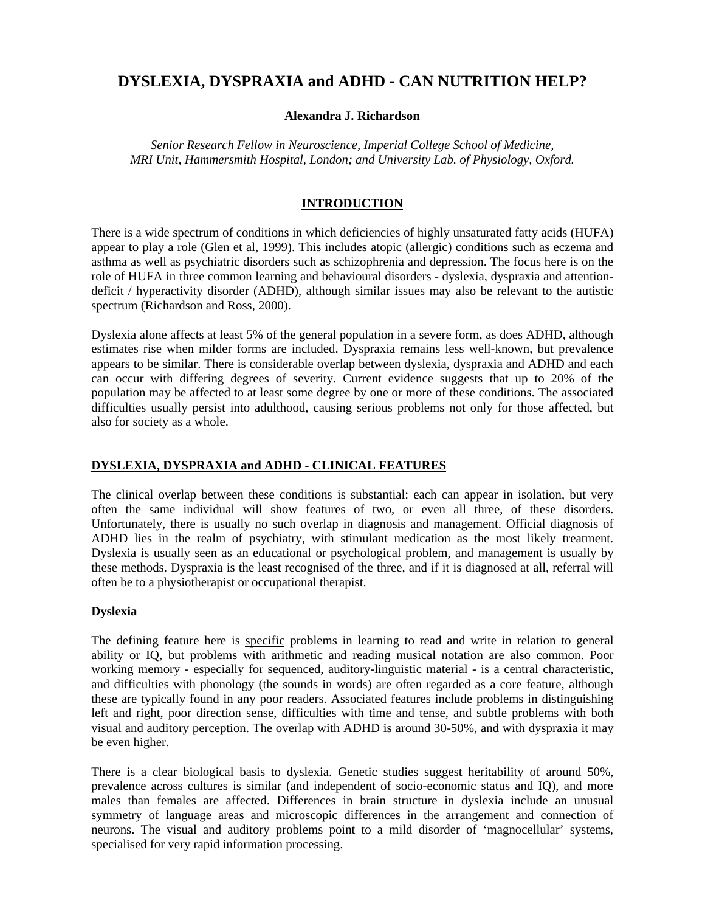# **DYSLEXIA, DYSPRAXIA and ADHD - CAN NUTRITION HELP?**

#### **Alexandra J. Richardson**

*Senior Research Fellow in Neuroscience, Imperial College School of Medicine, MRI Unit, Hammersmith Hospital, London; and University Lab. of Physiology, Oxford.*

### **INTRODUCTION**

There is a wide spectrum of conditions in which deficiencies of highly unsaturated fatty acids (HUFA) appear to play a role (Glen et al, 1999). This includes atopic (allergic) conditions such as eczema and asthma as well as psychiatric disorders such as schizophrenia and depression. The focus here is on the role of HUFA in three common learning and behavioural disorders - dyslexia, dyspraxia and attentiondeficit / hyperactivity disorder (ADHD), although similar issues may also be relevant to the autistic spectrum (Richardson and Ross, 2000).

Dyslexia alone affects at least 5% of the general population in a severe form, as does ADHD, although estimates rise when milder forms are included. Dyspraxia remains less well-known, but prevalence appears to be similar. There is considerable overlap between dyslexia, dyspraxia and ADHD and each can occur with differing degrees of severity. Current evidence suggests that up to 20% of the population may be affected to at least some degree by one or more of these conditions. The associated difficulties usually persist into adulthood, causing serious problems not only for those affected, but also for society as a whole.

## **DYSLEXIA, DYSPRAXIA and ADHD - CLINICAL FEATURES**

The clinical overlap between these conditions is substantial: each can appear in isolation, but very often the same individual will show features of two, or even all three, of these disorders. Unfortunately, there is usually no such overlap in diagnosis and management. Official diagnosis of ADHD lies in the realm of psychiatry, with stimulant medication as the most likely treatment. Dyslexia is usually seen as an educational or psychological problem, and management is usually by these methods. Dyspraxia is the least recognised of the three, and if it is diagnosed at all, referral will often be to a physiotherapist or occupational therapist.

#### **Dyslexia**

The defining feature here is specific problems in learning to read and write in relation to general ability or IQ, but problems with arithmetic and reading musical notation are also common. Poor working memory - especially for sequenced, auditory-linguistic material - is a central characteristic, and difficulties with phonology (the sounds in words) are often regarded as a core feature, although these are typically found in any poor readers. Associated features include problems in distinguishing left and right, poor direction sense, difficulties with time and tense, and subtle problems with both visual and auditory perception. The overlap with ADHD is around 30-50%, and with dyspraxia it may be even higher.

There is a clear biological basis to dyslexia. Genetic studies suggest heritability of around 50%, prevalence across cultures is similar (and independent of socio-economic status and IQ), and more males than females are affected. Differences in brain structure in dyslexia include an unusual symmetry of language areas and microscopic differences in the arrangement and connection of neurons. The visual and auditory problems point to a mild disorder of 'magnocellular' systems, specialised for very rapid information processing.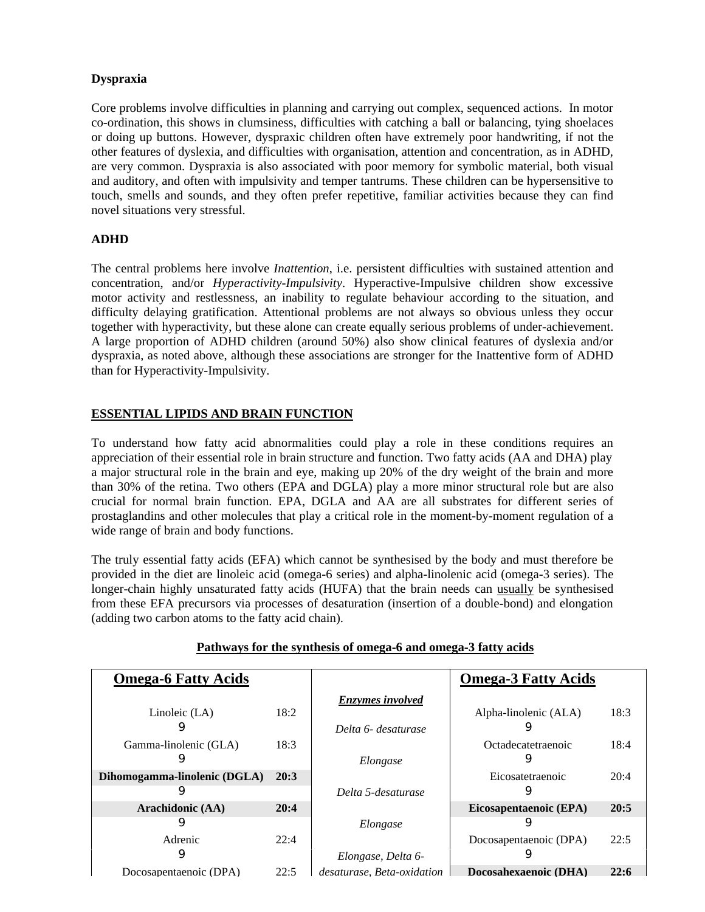### **Dyspraxia**

Core problems involve difficulties in planning and carrying out complex, sequenced actions. In motor co-ordination, this shows in clumsiness, difficulties with catching a ball or balancing, tying shoelaces or doing up buttons. However, dyspraxic children often have extremely poor handwriting, if not the other features of dyslexia, and difficulties with organisation, attention and concentration, as in ADHD, are very common. Dyspraxia is also associated with poor memory for symbolic material, both visual and auditory, and often with impulsivity and temper tantrums. These children can be hypersensitive to touch, smells and sounds, and they often prefer repetitive, familiar activities because they can find novel situations very stressful.

### **ADHD**

The central problems here involve *Inattention*, i.e. persistent difficulties with sustained attention and concentration, and/or *Hyperactivity*-*Impulsivity*. Hyperactive-Impulsive children show excessive motor activity and restlessness, an inability to regulate behaviour according to the situation, and difficulty delaying gratification. Attentional problems are not always so obvious unless they occur together with hyperactivity, but these alone can create equally serious problems of under-achievement. A large proportion of ADHD children (around 50%) also show clinical features of dyslexia and/or dyspraxia, as noted above, although these associations are stronger for the Inattentive form of ADHD than for Hyperactivity-Impulsivity.

### **ESSENTIAL LIPIDS AND BRAIN FUNCTION**

To understand how fatty acid abnormalities could play a role in these conditions requires an appreciation of their essential role in brain structure and function. Two fatty acids (AA and DHA) play a major structural role in the brain and eye, making up 20% of the dry weight of the brain and more than 30% of the retina. Two others (EPA and DGLA) play a more minor structural role but are also crucial for normal brain function. EPA, DGLA and AA are all substrates for different series of prostaglandins and other molecules that play a critical role in the moment-by-moment regulation of a wide range of brain and body functions.

The truly essential fatty acids (EFA) which cannot be synthesised by the body and must therefore be provided in the diet are linoleic acid (omega-6 series) and alpha-linolenic acid (omega-3 series). The longer-chain highly unsaturated fatty acids (HUFA) that the brain needs can usually be synthesised from these EFA precursors via processes of desaturation (insertion of a double-bond) and elongation (adding two carbon atoms to the fatty acid chain).

| <b>Omega-6 Fatty Acids</b>   |      |                            | <b>Omega-3 Fatty Acids</b> |      |
|------------------------------|------|----------------------------|----------------------------|------|
|                              |      | <b>Enzymes</b> involved    |                            |      |
| Linoleic (LA)                | 18:2 |                            | Alpha-linolenic (ALA)      | 18:3 |
| 9                            |      | Delta 6- desaturase        |                            |      |
| Gamma-linolenic (GLA)        | 18:3 |                            | Octadecatetraenoic         | 18:4 |
| 9                            |      | Elongase                   | 9                          |      |
| Dihomogamma-linolenic (DGLA) | 20:3 |                            | Eicosatetraenoic           | 20:4 |
| 9                            |      | Delta 5-desaturase         |                            |      |
| Arachidonic (AA)             | 20:4 |                            | Eicosapentaenoic (EPA)     | 20:5 |
| 9                            |      | Elongase                   |                            |      |
| Adrenic                      | 22:4 |                            | Docosapentaenoic (DPA)     | 22:5 |
| 9                            |      | Elongase, Delta 6-         |                            |      |
| Docosapentaenoic (DPA)       | 22:5 | desaturase, Beta-oxidation | Docosahexaenoic (DHA)      | 22:6 |

#### **Pathways for the synthesis of omega-6 and omega-3 fatty acids**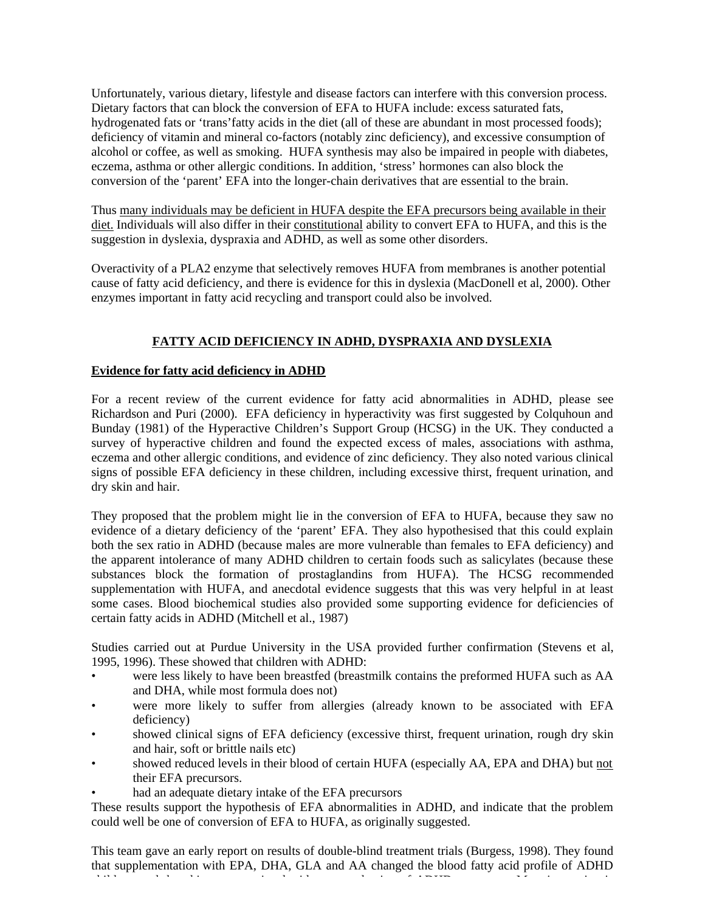Unfortunately, various dietary, lifestyle and disease factors can interfere with this conversion process. Dietary factors that can block the conversion of EFA to HUFA include: excess saturated fats, hydrogenated fats or 'trans'fatty acids in the diet (all of these are abundant in most processed foods); deficiency of vitamin and mineral co-factors (notably zinc deficiency), and excessive consumption of alcohol or coffee, as well as smoking. HUFA synthesis may also be impaired in people with diabetes, eczema, asthma or other allergic conditions. In addition, 'stress' hormones can also block the conversion of the 'parent' EFA into the longer-chain derivatives that are essential to the brain.

Thus many individuals may be deficient in HUFA despite the EFA precursors being available in their diet. Individuals will also differ in their constitutional ability to convert EFA to HUFA, and this is the suggestion in dyslexia, dyspraxia and ADHD, as well as some other disorders.

Overactivity of a PLA2 enzyme that selectively removes HUFA from membranes is another potential cause of fatty acid deficiency, and there is evidence for this in dyslexia (MacDonell et al, 2000). Other enzymes important in fatty acid recycling and transport could also be involved.

### **FATTY ACID DEFICIENCY IN ADHD, DYSPRAXIA AND DYSLEXIA**

#### **Evidence for fatty acid deficiency in ADHD**

For a recent review of the current evidence for fatty acid abnormalities in ADHD, please see Richardson and Puri (2000). EFA deficiency in hyperactivity was first suggested by Colquhoun and Bunday (1981) of the Hyperactive Children's Support Group (HCSG) in the UK. They conducted a survey of hyperactive children and found the expected excess of males, associations with asthma, eczema and other allergic conditions, and evidence of zinc deficiency. They also noted various clinical signs of possible EFA deficiency in these children, including excessive thirst, frequent urination, and dry skin and hair.

They proposed that the problem might lie in the conversion of EFA to HUFA, because they saw no evidence of a dietary deficiency of the 'parent' EFA. They also hypothesised that this could explain both the sex ratio in ADHD (because males are more vulnerable than females to EFA deficiency) and the apparent intolerance of many ADHD children to certain foods such as salicylates (because these substances block the formation of prostaglandins from HUFA). The HCSG recommended supplementation with HUFA, and anecdotal evidence suggests that this was very helpful in at least some cases. Blood biochemical studies also provided some supporting evidence for deficiencies of certain fatty acids in ADHD (Mitchell et al., 1987)

Studies carried out at Purdue University in the USA provided further confirmation (Stevens et al, 1995, 1996). These showed that children with ADHD:

- were less likely to have been breastfed (breastmilk contains the preformed HUFA such as AA and DHA, while most formula does not)
- were more likely to suffer from allergies (already known to be associated with EFA deficiency)
- showed clinical signs of EFA deficiency (excessive thirst, frequent urination, rough dry skin and hair, soft or brittle nails etc)
- showed reduced levels in their blood of certain HUFA (especially AA, EPA and DHA) but not their EFA precursors.
- had an adequate dietary intake of the EFA precursors

These results support the hypothesis of EFA abnormalities in ADHD, and indicate that the problem could well be one of conversion of EFA to HUFA, as originally suggested.

This team gave an early report on results of double-blind treatment trials (Burgess, 1998). They found that supplementation with EPA, DHA, GLA and AA changed the blood fatty acid profile of ADHD children, and this was associated with some reduction of ADHD symptoms. Most interesting is a straight interes<br>ADHD symptoms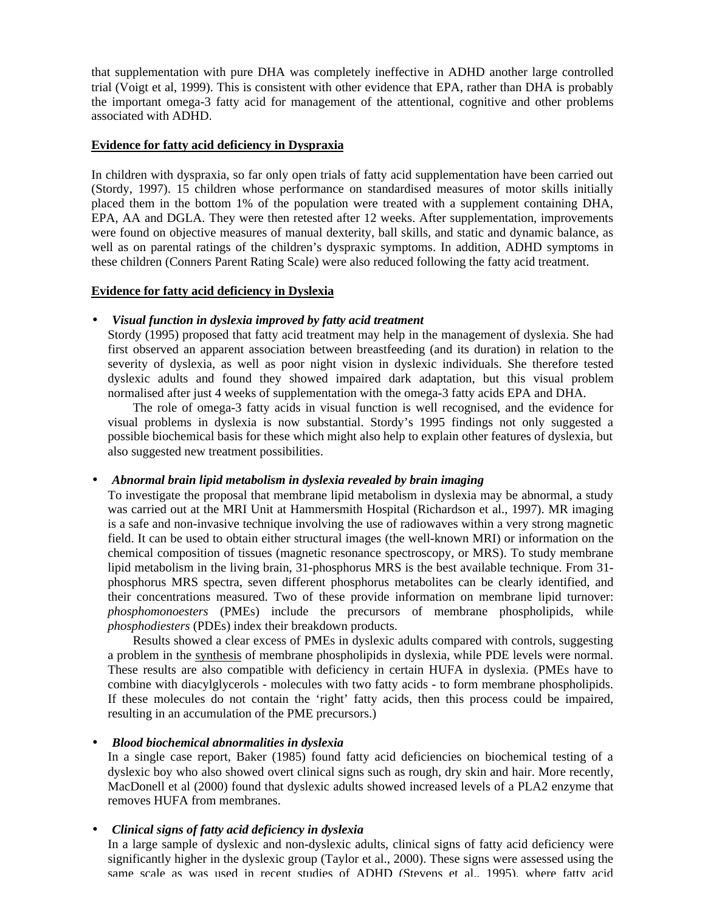that supplementation with pure DHA was completely ineffective in ADHD another large controlled trial (Voigt et al, 1999). This is consistent with other evidence that EPA, rather than DHA is probably the important omega-3 fatty acid for management of the attentional, cognitive and other problems associated with ADHD.

#### **Evidence for fatty acid deficiency in Dyspraxia**

In children with dyspraxia, so far only open trials of fatty acid supplementation have been carried out (Stordy, 1997). 15 children whose performance on standardised measures of motor skills initially placed them in the bottom 1% of the population were treated with a supplement containing DHA, EPA, AA and DGLA. They were then retested after 12 weeks. After supplementation, improvements were found on objective measures of manual dexterity, ball skills, and static and dynamic balance, as well as on parental ratings of the children's dyspraxic symptoms. In addition, ADHD symptoms in these children (Conners Parent Rating Scale) were also reduced following the fatty acid treatment.

#### **Evidence for fatty acid deficiency in Dyslexia**

#### • *Visual function in dyslexia improved by fatty acid treatment*

Stordy (1995) proposed that fatty acid treatment may help in the management of dyslexia. She had first observed an apparent association between breastfeeding (and its duration) in relation to the severity of dyslexia, as well as poor night vision in dyslexic individuals. She therefore tested dyslexic adults and found they showed impaired dark adaptation, but this visual problem normalised after just 4 weeks of supplementation with the omega-3 fatty acids EPA and DHA.

The role of omega-3 fatty acids in visual function is well recognised, and the evidence for visual problems in dyslexia is now substantial. Stordy's 1995 findings not only suggested a possible biochemical basis for these which might also help to explain other features of dyslexia, but also suggested new treatment possibilities.

#### • *Abnormal brain lipid metabolism in dyslexia revealed by brain imaging*

To investigate the proposal that membrane lipid metabolism in dyslexia may be abnormal, a study was carried out at the MRI Unit at Hammersmith Hospital (Richardson et al., 1997). MR imaging is a safe and non-invasive technique involving the use of radiowaves within a very strong magnetic field. It can be used to obtain either structural images (the well-known MRI) or information on the chemical composition of tissues (magnetic resonance spectroscopy, or MRS). To study membrane lipid metabolism in the living brain, 31-phosphorus MRS is the best available technique. From 31 phosphorus MRS spectra, seven different phosphorus metabolites can be clearly identified, and their concentrations measured. Two of these provide information on membrane lipid turnover: *phosphomonoesters* (PMEs) include the precursors of membrane phospholipids, while *phosphodiesters* (PDEs) index their breakdown products.

Results showed a clear excess of PMEs in dyslexic adults compared with controls, suggesting a problem in the synthesis of membrane phospholipids in dyslexia, while PDE levels were normal. These results are also compatible with deficiency in certain HUFA in dyslexia. (PMEs have to combine with diacylglycerols - molecules with two fatty acids - to form membrane phospholipids. If these molecules do not contain the 'right' fatty acids, then this process could be impaired, resulting in an accumulation of the PME precursors.)

#### • *Blood biochemical abnormalities in dyslexia*

In a single case report, Baker (1985) found fatty acid deficiencies on biochemical testing of a dyslexic boy who also showed overt clinical signs such as rough, dry skin and hair. More recently, MacDonell et al (2000) found that dyslexic adults showed increased levels of a PLA2 enzyme that removes HUFA from membranes.

#### • *Clinical signs of fatty acid deficiency in dyslexia*

In a large sample of dyslexic and non-dyslexic adults, clinical signs of fatty acid deficiency were significantly higher in the dyslexic group (Taylor et al., 2000). These signs were assessed using the same scale as was used in recent studies of ADHD (Stevens et al., 1995), where fatty acid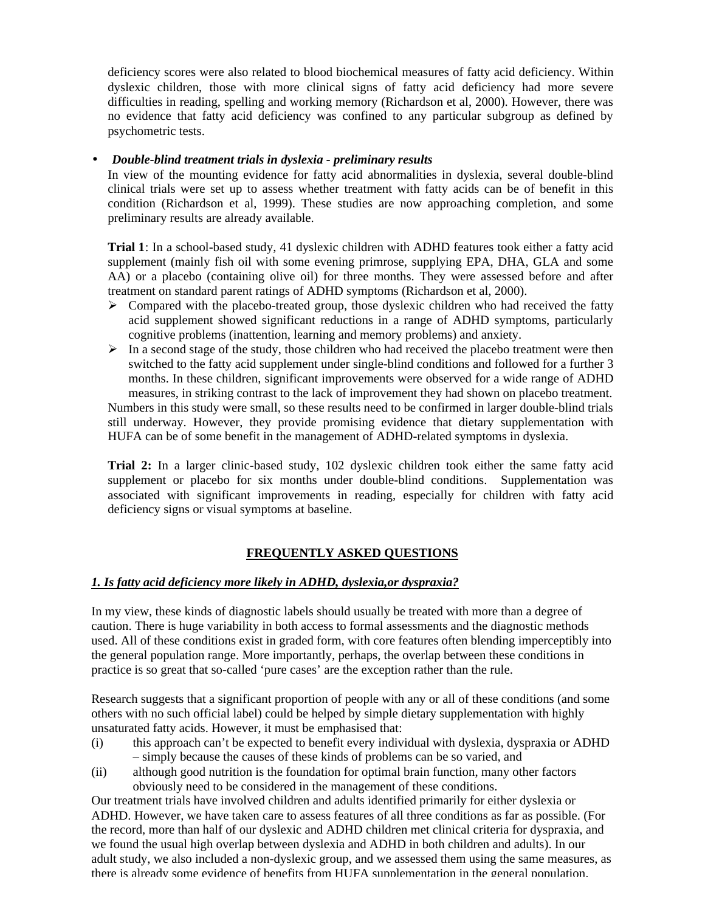deficiency scores were also related to blood biochemical measures of fatty acid deficiency. Within dyslexic children, those with more clinical signs of fatty acid deficiency had more severe difficulties in reading, spelling and working memory (Richardson et al, 2000). However, there was no evidence that fatty acid deficiency was confined to any particular subgroup as defined by psychometric tests.

#### • *Double-blind treatment trials in dyslexia - preliminary results*

In view of the mounting evidence for fatty acid abnormalities in dyslexia, several double-blind clinical trials were set up to assess whether treatment with fatty acids can be of benefit in this condition (Richardson et al, 1999). These studies are now approaching completion, and some preliminary results are already available.

**Trial 1**: In a school-based study, 41 dyslexic children with ADHD features took either a fatty acid supplement (mainly fish oil with some evening primrose, supplying EPA, DHA, GLA and some AA) or a placebo (containing olive oil) for three months. They were assessed before and after treatment on standard parent ratings of ADHD symptoms (Richardson et al, 2000).

- $\triangleright$  Compared with the placebo-treated group, those dyslexic children who had received the fatty acid supplement showed significant reductions in a range of ADHD symptoms, particularly cognitive problems (inattention, learning and memory problems) and anxiety.
- $\triangleright$  In a second stage of the study, those children who had received the placebo treatment were then switched to the fatty acid supplement under single-blind conditions and followed for a further 3 months. In these children, significant improvements were observed for a wide range of ADHD measures, in striking contrast to the lack of improvement they had shown on placebo treatment.

Numbers in this study were small, so these results need to be confirmed in larger double-blind trials still underway. However, they provide promising evidence that dietary supplementation with HUFA can be of some benefit in the management of ADHD-related symptoms in dyslexia.

**Trial 2:** In a larger clinic-based study, 102 dyslexic children took either the same fatty acid supplement or placebo for six months under double-blind conditions. Supplementation was associated with significant improvements in reading, especially for children with fatty acid deficiency signs or visual symptoms at baseline.

#### **FREQUENTLY ASKED QUESTIONS**

#### *1. Is fatty acid deficiency more likely in ADHD, dyslexia,or dyspraxia?*

In my view, these kinds of diagnostic labels should usually be treated with more than a degree of caution. There is huge variability in both access to formal assessments and the diagnostic methods used. All of these conditions exist in graded form, with core features often blending imperceptibly into the general population range. More importantly, perhaps, the overlap between these conditions in practice is so great that so-called 'pure cases' are the exception rather than the rule.

Research suggests that a significant proportion of people with any or all of these conditions (and some others with no such official label) could be helped by simple dietary supplementation with highly unsaturated fatty acids. However, it must be emphasised that:

- (i) this approach can't be expected to benefit every individual with dyslexia, dyspraxia or ADHD – simply because the causes of these kinds of problems can be so varied, and
- (ii) although good nutrition is the foundation for optimal brain function, many other factors obviously need to be considered in the management of these conditions.

Our treatment trials have involved children and adults identified primarily for either dyslexia or ADHD. However, we have taken care to assess features of all three conditions as far as possible. (For the record, more than half of our dyslexic and ADHD children met clinical criteria for dyspraxia, and we found the usual high overlap between dyslexia and ADHD in both children and adults). In our adult study, we also included a non-dyslexic group, and we assessed them using the same measures, as there is already some evidence of benefits from HUFA supplementation in the general population.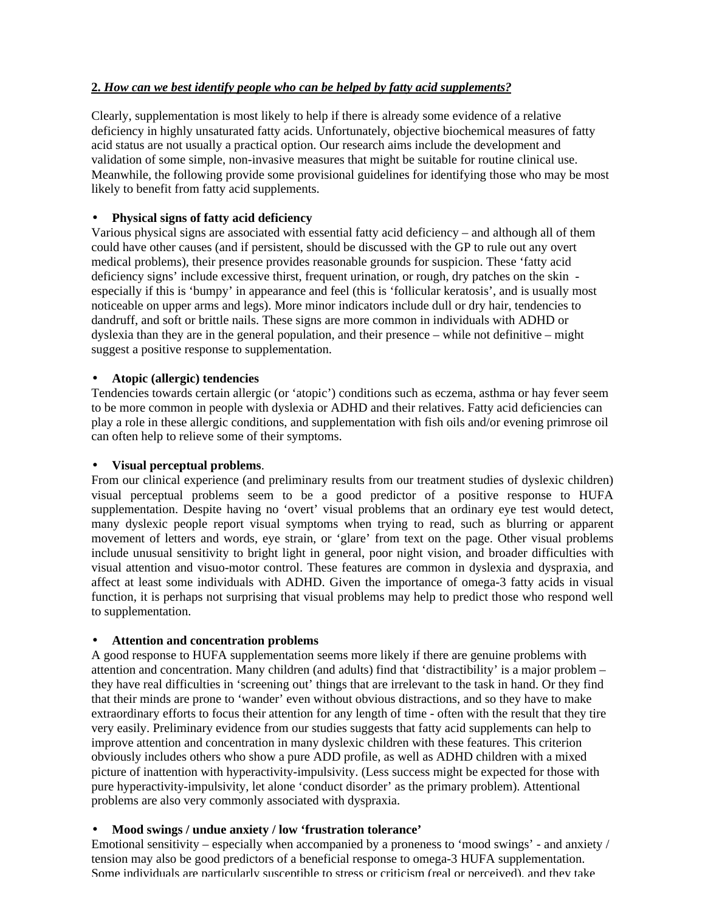### **2.** *How can we best identify people who can be helped by fatty acid supplements?*

Clearly, supplementation is most likely to help if there is already some evidence of a relative deficiency in highly unsaturated fatty acids. Unfortunately, objective biochemical measures of fatty acid status are not usually a practical option. Our research aims include the development and validation of some simple, non-invasive measures that might be suitable for routine clinical use. Meanwhile, the following provide some provisional guidelines for identifying those who may be most likely to benefit from fatty acid supplements.

### • **Physical signs of fatty acid deficiency**

Various physical signs are associated with essential fatty acid deficiency – and although all of them could have other causes (and if persistent, should be discussed with the GP to rule out any overt medical problems), their presence provides reasonable grounds for suspicion. These 'fatty acid deficiency signs' include excessive thirst, frequent urination, or rough, dry patches on the skin especially if this is 'bumpy' in appearance and feel (this is 'follicular keratosis', and is usually most noticeable on upper arms and legs). More minor indicators include dull or dry hair, tendencies to dandruff, and soft or brittle nails. These signs are more common in individuals with ADHD or dyslexia than they are in the general population, and their presence – while not definitive – might suggest a positive response to supplementation.

#### • **Atopic (allergic) tendencies**

Tendencies towards certain allergic (or 'atopic') conditions such as eczema, asthma or hay fever seem to be more common in people with dyslexia or ADHD and their relatives. Fatty acid deficiencies can play a role in these allergic conditions, and supplementation with fish oils and/or evening primrose oil can often help to relieve some of their symptoms.

#### • **Visual perceptual problems**.

From our clinical experience (and preliminary results from our treatment studies of dyslexic children) visual perceptual problems seem to be a good predictor of a positive response to HUFA supplementation. Despite having no 'overt' visual problems that an ordinary eye test would detect, many dyslexic people report visual symptoms when trying to read, such as blurring or apparent movement of letters and words, eye strain, or 'glare' from text on the page. Other visual problems include unusual sensitivity to bright light in general, poor night vision, and broader difficulties with visual attention and visuo-motor control. These features are common in dyslexia and dyspraxia, and affect at least some individuals with ADHD. Given the importance of omega-3 fatty acids in visual function, it is perhaps not surprising that visual problems may help to predict those who respond well to supplementation.

#### • **Attention and concentration problems**

A good response to HUFA supplementation seems more likely if there are genuine problems with attention and concentration. Many children (and adults) find that 'distractibility' is a major problem – they have real difficulties in 'screening out' things that are irrelevant to the task in hand. Or they find that their minds are prone to 'wander' even without obvious distractions, and so they have to make extraordinary efforts to focus their attention for any length of time - often with the result that they tire very easily. Preliminary evidence from our studies suggests that fatty acid supplements can help to improve attention and concentration in many dyslexic children with these features. This criterion obviously includes others who show a pure ADD profile, as well as ADHD children with a mixed picture of inattention with hyperactivity-impulsivity. (Less success might be expected for those with pure hyperactivity-impulsivity, let alone 'conduct disorder' as the primary problem). Attentional problems are also very commonly associated with dyspraxia.

#### • **Mood swings / undue anxiety / low 'frustration tolerance'**

Emotional sensitivity – especially when accompanied by a proneness to 'mood swings' - and anxiety / tension may also be good predictors of a beneficial response to omega-3 HUFA supplementation. Some individuals are particularly susceptible to stress or criticism (real or perceived), and they take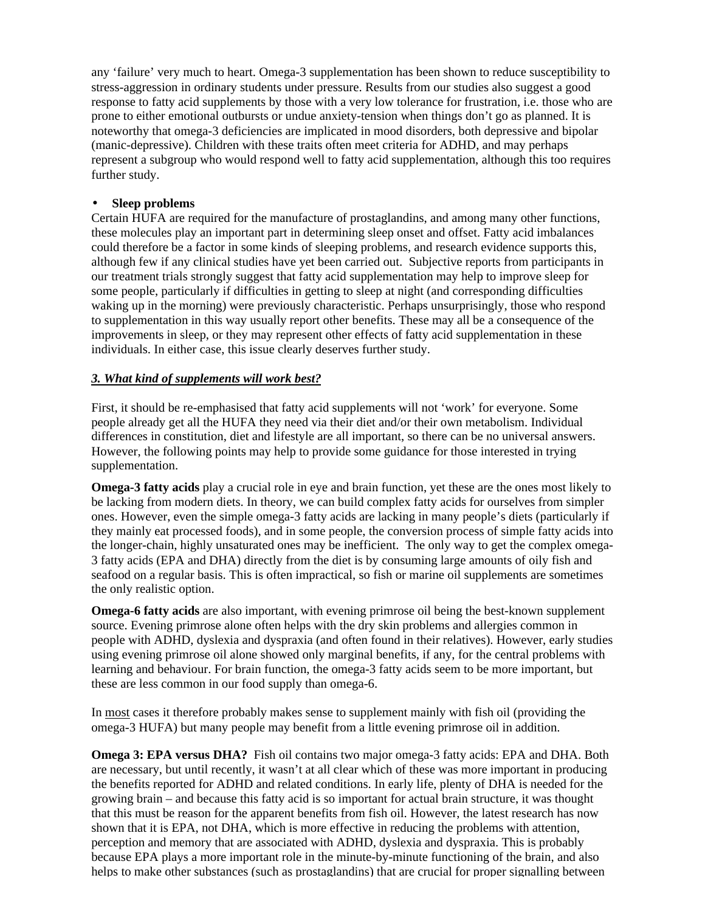any 'failure' very much to heart. Omega-3 supplementation has been shown to reduce susceptibility to stress-aggression in ordinary students under pressure. Results from our studies also suggest a good response to fatty acid supplements by those with a very low tolerance for frustration, i.e. those who are prone to either emotional outbursts or undue anxiety-tension when things don't go as planned. It is noteworthy that omega-3 deficiencies are implicated in mood disorders, both depressive and bipolar (manic-depressive). Children with these traits often meet criteria for ADHD, and may perhaps represent a subgroup who would respond well to fatty acid supplementation, although this too requires further study.

### • **Sleep problems**

Certain HUFA are required for the manufacture of prostaglandins, and among many other functions, these molecules play an important part in determining sleep onset and offset. Fatty acid imbalances could therefore be a factor in some kinds of sleeping problems, and research evidence supports this, although few if any clinical studies have yet been carried out. Subjective reports from participants in our treatment trials strongly suggest that fatty acid supplementation may help to improve sleep for some people, particularly if difficulties in getting to sleep at night (and corresponding difficulties waking up in the morning) were previously characteristic. Perhaps unsurprisingly, those who respond to supplementation in this way usually report other benefits. These may all be a consequence of the improvements in sleep, or they may represent other effects of fatty acid supplementation in these individuals. In either case, this issue clearly deserves further study.

### *3. What kind of supplements will work best?*

First, it should be re-emphasised that fatty acid supplements will not 'work' for everyone. Some people already get all the HUFA they need via their diet and/or their own metabolism. Individual differences in constitution, diet and lifestyle are all important, so there can be no universal answers. However, the following points may help to provide some guidance for those interested in trying supplementation.

**Omega-3 fatty acids** play a crucial role in eye and brain function, yet these are the ones most likely to be lacking from modern diets. In theory, we can build complex fatty acids for ourselves from simpler ones. However, even the simple omega-3 fatty acids are lacking in many people's diets (particularly if they mainly eat processed foods), and in some people, the conversion process of simple fatty acids into the longer-chain, highly unsaturated ones may be inefficient. The only way to get the complex omega-3 fatty acids (EPA and DHA) directly from the diet is by consuming large amounts of oily fish and seafood on a regular basis. This is often impractical, so fish or marine oil supplements are sometimes the only realistic option.

**Omega-6 fatty acids** are also important, with evening primrose oil being the best-known supplement source. Evening primrose alone often helps with the dry skin problems and allergies common in people with ADHD, dyslexia and dyspraxia (and often found in their relatives). However, early studies using evening primrose oil alone showed only marginal benefits, if any, for the central problems with learning and behaviour. For brain function, the omega-3 fatty acids seem to be more important, but these are less common in our food supply than omega-6.

In most cases it therefore probably makes sense to supplement mainly with fish oil (providing the omega-3 HUFA) but many people may benefit from a little evening primrose oil in addition.

**Omega 3: EPA versus DHA?** Fish oil contains two major omega-3 fatty acids: EPA and DHA. Both are necessary, but until recently, it wasn't at all clear which of these was more important in producing the benefits reported for ADHD and related conditions. In early life, plenty of DHA is needed for the growing brain – and because this fatty acid is so important for actual brain structure, it was thought that this must be reason for the apparent benefits from fish oil. However, the latest research has now shown that it is EPA, not DHA, which is more effective in reducing the problems with attention, perception and memory that are associated with ADHD, dyslexia and dyspraxia. This is probably because EPA plays a more important role in the minute-by-minute functioning of the brain, and also helps to make other substances (such as prostaglandins) that are crucial for proper signalling between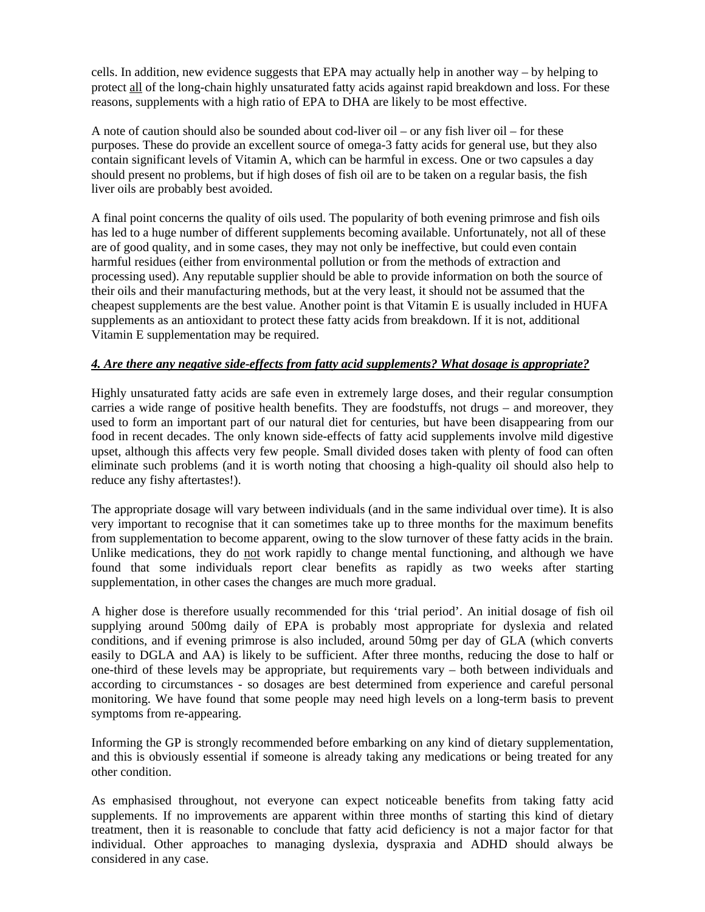cells. In addition, new evidence suggests that EPA may actually help in another way – by helping to protect all of the long-chain highly unsaturated fatty acids against rapid breakdown and loss. For these reasons, supplements with a high ratio of EPA to DHA are likely to be most effective.

A note of caution should also be sounded about cod-liver oil – or any fish liver oil – for these purposes. These do provide an excellent source of omega-3 fatty acids for general use, but they also contain significant levels of Vitamin A, which can be harmful in excess. One or two capsules a day should present no problems, but if high doses of fish oil are to be taken on a regular basis, the fish liver oils are probably best avoided.

A final point concerns the quality of oils used. The popularity of both evening primrose and fish oils has led to a huge number of different supplements becoming available. Unfortunately, not all of these are of good quality, and in some cases, they may not only be ineffective, but could even contain harmful residues (either from environmental pollution or from the methods of extraction and processing used). Any reputable supplier should be able to provide information on both the source of their oils and their manufacturing methods, but at the very least, it should not be assumed that the cheapest supplements are the best value. Another point is that Vitamin E is usually included in HUFA supplements as an antioxidant to protect these fatty acids from breakdown. If it is not, additional Vitamin E supplementation may be required.

### *4. Are there any negative side-effects from fatty acid supplements? What dosage is appropriate?*

Highly unsaturated fatty acids are safe even in extremely large doses, and their regular consumption carries a wide range of positive health benefits. They are foodstuffs, not drugs – and moreover, they used to form an important part of our natural diet for centuries, but have been disappearing from our food in recent decades. The only known side-effects of fatty acid supplements involve mild digestive upset, although this affects very few people. Small divided doses taken with plenty of food can often eliminate such problems (and it is worth noting that choosing a high-quality oil should also help to reduce any fishy aftertastes!).

The appropriate dosage will vary between individuals (and in the same individual over time). It is also very important to recognise that it can sometimes take up to three months for the maximum benefits from supplementation to become apparent, owing to the slow turnover of these fatty acids in the brain. Unlike medications, they do not work rapidly to change mental functioning, and although we have found that some individuals report clear benefits as rapidly as two weeks after starting supplementation, in other cases the changes are much more gradual.

A higher dose is therefore usually recommended for this 'trial period'. An initial dosage of fish oil supplying around 500mg daily of EPA is probably most appropriate for dyslexia and related conditions, and if evening primrose is also included, around 50mg per day of GLA (which converts easily to DGLA and AA) is likely to be sufficient. After three months, reducing the dose to half or one-third of these levels may be appropriate, but requirements vary – both between individuals and according to circumstances - so dosages are best determined from experience and careful personal monitoring. We have found that some people may need high levels on a long-term basis to prevent symptoms from re-appearing.

Informing the GP is strongly recommended before embarking on any kind of dietary supplementation, and this is obviously essential if someone is already taking any medications or being treated for any other condition.

As emphasised throughout, not everyone can expect noticeable benefits from taking fatty acid supplements. If no improvements are apparent within three months of starting this kind of dietary treatment, then it is reasonable to conclude that fatty acid deficiency is not a major factor for that individual. Other approaches to managing dyslexia, dyspraxia and ADHD should always be considered in any case.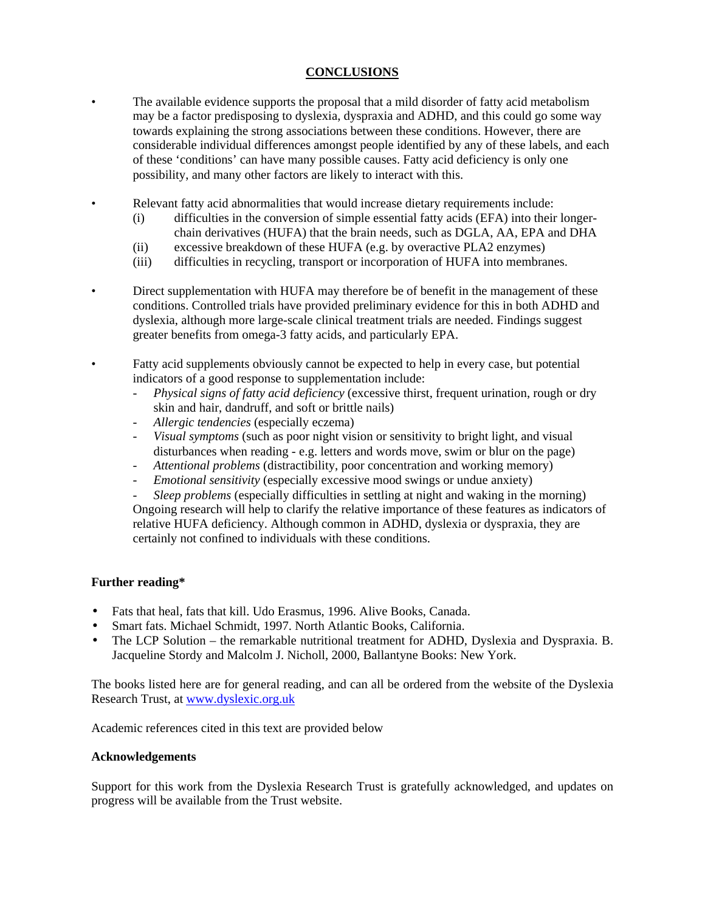## **CONCLUSIONS**

- The available evidence supports the proposal that a mild disorder of fatty acid metabolism may be a factor predisposing to dyslexia, dyspraxia and ADHD, and this could go some way towards explaining the strong associations between these conditions. However, there are considerable individual differences amongst people identified by any of these labels, and each of these 'conditions' can have many possible causes. Fatty acid deficiency is only one possibility, and many other factors are likely to interact with this.
- Relevant fatty acid abnormalities that would increase dietary requirements include:
	- (i) difficulties in the conversion of simple essential fatty acids (EFA) into their longerchain derivatives (HUFA) that the brain needs, such as DGLA, AA, EPA and DHA
	- (ii) excessive breakdown of these HUFA (e.g. by overactive PLA2 enzymes)
	- (iii) difficulties in recycling, transport or incorporation of HUFA into membranes.
- Direct supplementation with HUFA may therefore be of benefit in the management of these conditions. Controlled trials have provided preliminary evidence for this in both ADHD and dyslexia, although more large-scale clinical treatment trials are needed. Findings suggest greater benefits from omega-3 fatty acids, and particularly EPA.
- Fatty acid supplements obviously cannot be expected to help in every case, but potential indicators of a good response to supplementation include:
	- *Physical signs of fatty acid deficiency* (excessive thirst, frequent urination, rough or dry skin and hair, dandruff, and soft or brittle nails)
	- *Allergic tendencies* (especially eczema)
	- *Visual symptoms* (such as poor night vision or sensitivity to bright light, and visual disturbances when reading - e.g. letters and words move, swim or blur on the page)
	- *Attentional problems* (distractibility, poor concentration and working memory)
	- *Emotional sensitivity* (especially excessive mood swings or undue anxiety)
	- *Sleep problems* (especially difficulties in settling at night and waking in the morning) Ongoing research will help to clarify the relative importance of these features as indicators of relative HUFA deficiency. Although common in ADHD, dyslexia or dyspraxia, they are certainly not confined to individuals with these conditions.

## **Further reading\***

- Fats that heal, fats that kill. Udo Erasmus, 1996. Alive Books, Canada.
- Smart fats. Michael Schmidt, 1997. North Atlantic Books, California.
- The LCP Solution the remarkable nutritional treatment for ADHD, Dyslexia and Dyspraxia. B. Jacqueline Stordy and Malcolm J. Nicholl, 2000, Ballantyne Books: New York.

The books listed here are for general reading, and can all be ordered from the website of the Dyslexia Research Trust, at www.dyslexic.org.uk

Academic references cited in this text are provided below

#### **Acknowledgements**

Support for this work from the Dyslexia Research Trust is gratefully acknowledged, and updates on progress will be available from the Trust website.